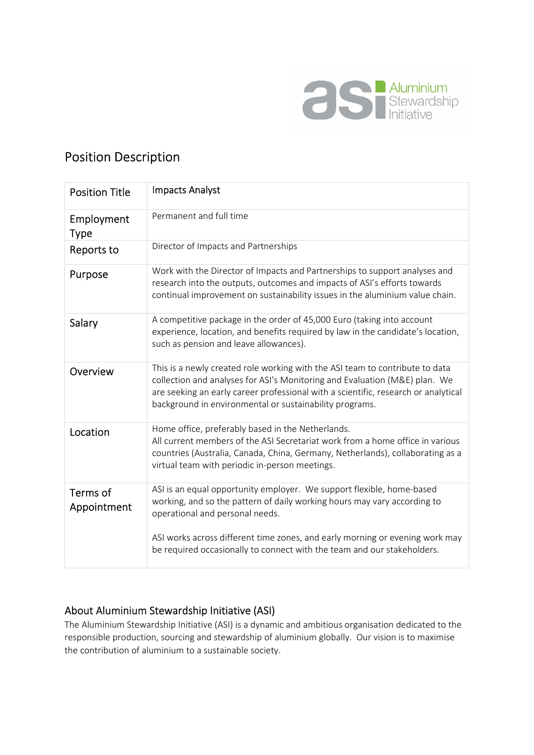

# Position Description

| <b>Position Title</b>     | <b>Impacts Analyst</b>                                                                                                                                                                                                                                                                                      |
|---------------------------|-------------------------------------------------------------------------------------------------------------------------------------------------------------------------------------------------------------------------------------------------------------------------------------------------------------|
| Employment<br><b>Type</b> | Permanent and full time                                                                                                                                                                                                                                                                                     |
| Reports to                | Director of Impacts and Partnerships                                                                                                                                                                                                                                                                        |
| Purpose                   | Work with the Director of Impacts and Partnerships to support analyses and<br>research into the outputs, outcomes and impacts of ASI's efforts towards<br>continual improvement on sustainability issues in the aluminium value chain.                                                                      |
| Salary                    | A competitive package in the order of 45,000 Euro (taking into account<br>experience, location, and benefits required by law in the candidate's location,<br>such as pension and leave allowances).                                                                                                         |
| Overview                  | This is a newly created role working with the ASI team to contribute to data<br>collection and analyses for ASI's Monitoring and Evaluation (M&E) plan. We<br>are seeking an early career professional with a scientific, research or analytical<br>background in environmental or sustainability programs. |
| Location                  | Home office, preferably based in the Netherlands.<br>All current members of the ASI Secretariat work from a home office in various<br>countries (Australia, Canada, China, Germany, Netherlands), collaborating as a<br>virtual team with periodic in-person meetings.                                      |
| Terms of<br>Appointment   | ASI is an equal opportunity employer. We support flexible, home-based<br>working, and so the pattern of daily working hours may vary according to<br>operational and personal needs.<br>ASI works across different time zones, and early morning or evening work may                                        |
|                           | be required occasionally to connect with the team and our stakeholders.                                                                                                                                                                                                                                     |

## About Aluminium Stewardship Initiative (ASI)

The Aluminium Stewardship Initiative (ASI) is a dynamic and ambitious organisation dedicated to the responsible production, sourcing and stewardship of aluminium globally. Our vision is to maximise the contribution of aluminium to a sustainable society.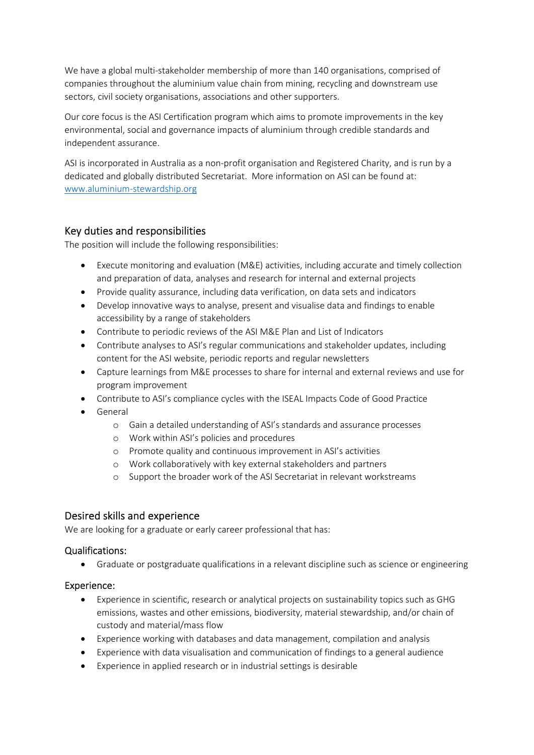We have a global multi-stakeholder membership of more than 140 organisations, comprised of companies throughout the aluminium value chain from mining, recycling and downstream use sectors, civil society organisations, associations and other supporters.

Our core focus is the ASI Certification program which aims to promote improvements in the key environmental, social and governance impacts of aluminium through credible standards and independent assurance.

ASI is incorporated in Australia as a non-profit organisation and Registered Charity, and is run by a dedicated and globally distributed Secretariat. More information on ASI can be found at: www.aluminium-stewardship.org

## Key duties and responsibilities

The position will include the following responsibilities:

- Execute monitoring and evaluation (M&E) activities, including accurate and timely collection and preparation of data, analyses and research for internal and external projects
- Provide quality assurance, including data verification, on data sets and indicators
- Develop innovative ways to analyse, present and visualise data and findings to enable accessibility by a range of stakeholders
- Contribute to periodic reviews of the ASI M&E Plan and List of Indicators
- Contribute analyses to ASI's regular communications and stakeholder updates, including content for the ASI website, periodic reports and regular newsletters
- Capture learnings from M&E processes to share for internal and external reviews and use for program improvement
- Contribute to ASI's compliance cycles with the ISEAL Impacts Code of Good Practice
- General
	- o Gain a detailed understanding of ASI's standards and assurance processes
	- o Work within ASI's policies and procedures
	- o Promote quality and continuous improvement in ASI's activities
	- o Work collaboratively with key external stakeholders and partners
	- o Support the broader work of the ASI Secretariat in relevant workstreams

## Desired skills and experience

We are looking for a graduate or early career professional that has:

#### Qualifications:

Graduate or postgraduate qualifications in a relevant discipline such as science or engineering

#### Experience:

- Experience in scientific, research or analytical projects on sustainability topics such as GHG emissions, wastes and other emissions, biodiversity, material stewardship, and/or chain of custody and material/mass flow
- Experience working with databases and data management, compilation and analysis
- Experience with data visualisation and communication of findings to a general audience
- Experience in applied research or in industrial settings is desirable